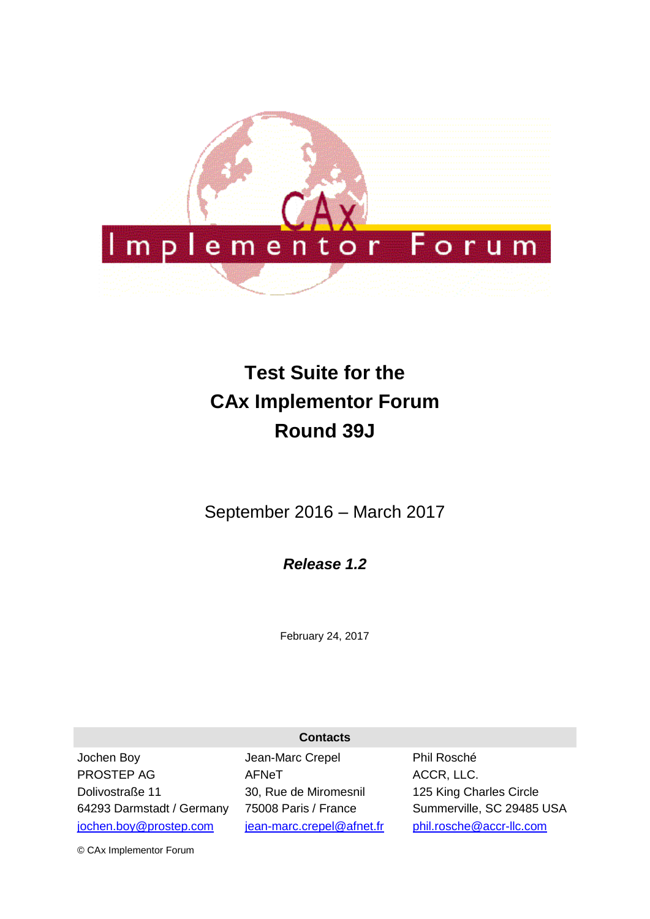

# **Test Suite for the CAx Implementor Forum Round 39J**

September 2016 – March 2017

*Release 1.2*

February 24, 2017

**Contacts**

Jochen Boy PROSTEP AG Dolivostraße 11 64293 Darmstadt / Germany [jochen.boy@prostep.com](mailto:jochen.boy@prostep.com)

Jean-Marc Crepel AFNeT 30, Rue de Miromesnil 75008 Paris / France [jean-marc.crepel@afnet.fr](mailto:jean-marc.crepel@afnet.fr) Phil Rosché ACCR, LLC. 125 King Charles Circle Summerville, SC 29485 USA [phil.rosche@accr-llc.com](mailto:phil.rosche@accr-llc.com)

© CAx Implementor Forum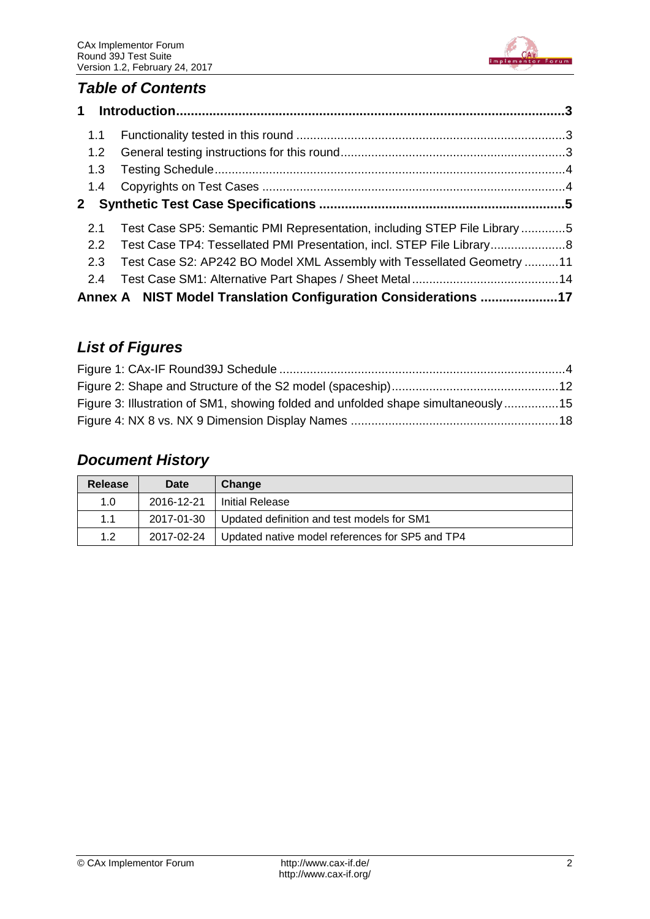

# *Table of Contents*

| 1.1           |                                                                          |  |
|---------------|--------------------------------------------------------------------------|--|
| 1.2           |                                                                          |  |
| 1.3           |                                                                          |  |
| 1.4           |                                                                          |  |
| $\mathbf{2}$  |                                                                          |  |
| 2.1           | Test Case SP5: Semantic PMI Representation, including STEP File Library5 |  |
| $2.2^{\circ}$ | Test Case TP4: Tessellated PMI Presentation, incl. STEP File Library8    |  |
| 2.3           | Test Case S2: AP242 BO Model XML Assembly with Tessellated Geometry 11   |  |
| 2.4           |                                                                          |  |
|               | Annex A NIST Model Translation Configuration Considerations 17           |  |

# *List of Figures*

| Figure 3: Illustration of SM1, showing folded and unfolded shape simultaneously15 |  |
|-----------------------------------------------------------------------------------|--|
|                                                                                   |  |

# *Document History*

| <b>Release</b> | Date       | Change                                          |
|----------------|------------|-------------------------------------------------|
| 1.0            | 2016-12-21 | Initial Release                                 |
| 1.1            | 2017-01-30 | Updated definition and test models for SM1      |
| 1.2            | 2017-02-24 | Updated native model references for SP5 and TP4 |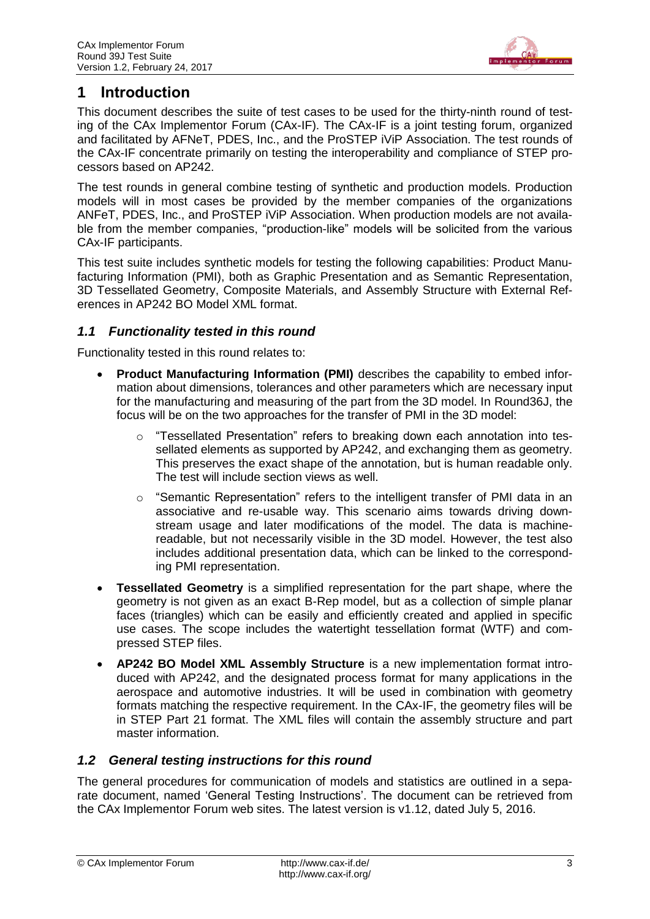

# <span id="page-2-0"></span>**1 Introduction**

This document describes the suite of test cases to be used for the thirty-ninth round of testing of the CAx Implementor Forum (CAx-IF). The CAx-IF is a joint testing forum, organized and facilitated by AFNeT, PDES, Inc., and the ProSTEP iViP Association. The test rounds of the CAx-IF concentrate primarily on testing the interoperability and compliance of STEP processors based on AP242.

The test rounds in general combine testing of synthetic and production models. Production models will in most cases be provided by the member companies of the organizations ANFeT, PDES, Inc., and ProSTEP iViP Association. When production models are not available from the member companies, "production-like" models will be solicited from the various CAx-IF participants.

This test suite includes synthetic models for testing the following capabilities: Product Manufacturing Information (PMI), both as Graphic Presentation and as Semantic Representation, 3D Tessellated Geometry, Composite Materials, and Assembly Structure with External References in AP242 BO Model XML format.

### <span id="page-2-1"></span>*1.1 Functionality tested in this round*

Functionality tested in this round relates to:

- **Product Manufacturing Information (PMI)** describes the capability to embed information about dimensions, tolerances and other parameters which are necessary input for the manufacturing and measuring of the part from the 3D model. In Round36J, the focus will be on the two approaches for the transfer of PMI in the 3D model:
	- $\circ$  "Tessellated Presentation" refers to breaking down each annotation into tessellated elements as supported by AP242, and exchanging them as geometry. This preserves the exact shape of the annotation, but is human readable only. The test will include section views as well.
	- $\circ$  "Semantic Representation" refers to the intelligent transfer of PMI data in an associative and re-usable way. This scenario aims towards driving downstream usage and later modifications of the model. The data is machinereadable, but not necessarily visible in the 3D model. However, the test also includes additional presentation data, which can be linked to the corresponding PMI representation.
- **Tessellated Geometry** is a simplified representation for the part shape, where the geometry is not given as an exact B-Rep model, but as a collection of simple planar faces (triangles) which can be easily and efficiently created and applied in specific use cases. The scope includes the watertight tessellation format (WTF) and compressed STEP files.
- **AP242 BO Model XML Assembly Structure** is a new implementation format introduced with AP242, and the designated process format for many applications in the aerospace and automotive industries. It will be used in combination with geometry formats matching the respective requirement. In the CAx-IF, the geometry files will be in STEP Part 21 format. The XML files will contain the assembly structure and part master information.

# <span id="page-2-2"></span>*1.2 General testing instructions for this round*

The general procedures for communication of models and statistics are outlined in a separate document, named 'General Testing Instructions'. The document can be retrieved from the CAx Implementor Forum web sites. The latest version is v1.12, dated July 5, 2016.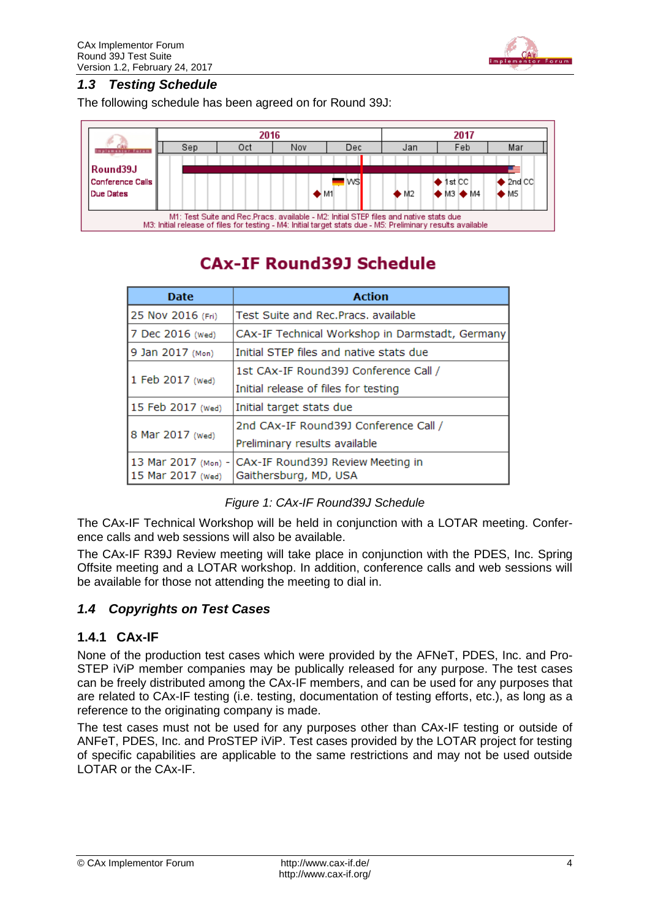

#### <span id="page-3-0"></span>*1.3 Testing Schedule*

The following schedule has been agreed on for Round 39J:



# **CAx-IF Round39J Schedule**

| <b>Date</b>                              | <b>Action</b>                                              |
|------------------------------------------|------------------------------------------------------------|
| 25 Nov 2016 (Fri)                        | Test Suite and Rec. Pracs, available                       |
| 7 Dec 2016 (Wed)                         | CAx-IF Technical Workshop in Darmstadt, Germany            |
| 9 Jan 2017 (Mon)                         | Initial STEP files and native stats due                    |
|                                          | 1st CAx-IF Round39J Conference Call /                      |
| 1 Feb 2017 (Wed)                         | Initial release of files for testing                       |
| 15 Feb 2017 (Wed)                        | Initial target stats due                                   |
|                                          | 2nd CAx-IF Round39J Conference Call /                      |
| 8 Mar 2017 (Wed)                         | Preliminary results available                              |
| 13 Mar 2017 (Mon) -<br>15 Mar 2017 (Wed) | CAX-IF Round39J Review Meeting in<br>Gaithersburg, MD, USA |

|  |  |  | Figure 1: CAx-IF Round39J Schedule |  |
|--|--|--|------------------------------------|--|
|--|--|--|------------------------------------|--|

<span id="page-3-2"></span>The CAx-IF Technical Workshop will be held in conjunction with a LOTAR meeting. Conference calls and web sessions will also be available.

The CAx-IF R39J Review meeting will take place in conjunction with the PDES, Inc. Spring Offsite meeting and a LOTAR workshop. In addition, conference calls and web sessions will be available for those not attending the meeting to dial in.

# <span id="page-3-1"></span>*1.4 Copyrights on Test Cases*

#### **1.4.1 CAx-IF**

None of the production test cases which were provided by the AFNeT, PDES, Inc. and Pro-STEP iViP member companies may be publically released for any purpose. The test cases can be freely distributed among the CAx-IF members, and can be used for any purposes that are related to CAx-IF testing (i.e. testing, documentation of testing efforts, etc.), as long as a reference to the originating company is made.

The test cases must not be used for any purposes other than CAx-IF testing or outside of ANFeT, PDES, Inc. and ProSTEP iViP. Test cases provided by the LOTAR project for testing of specific capabilities are applicable to the same restrictions and may not be used outside LOTAR or the CAx-IF.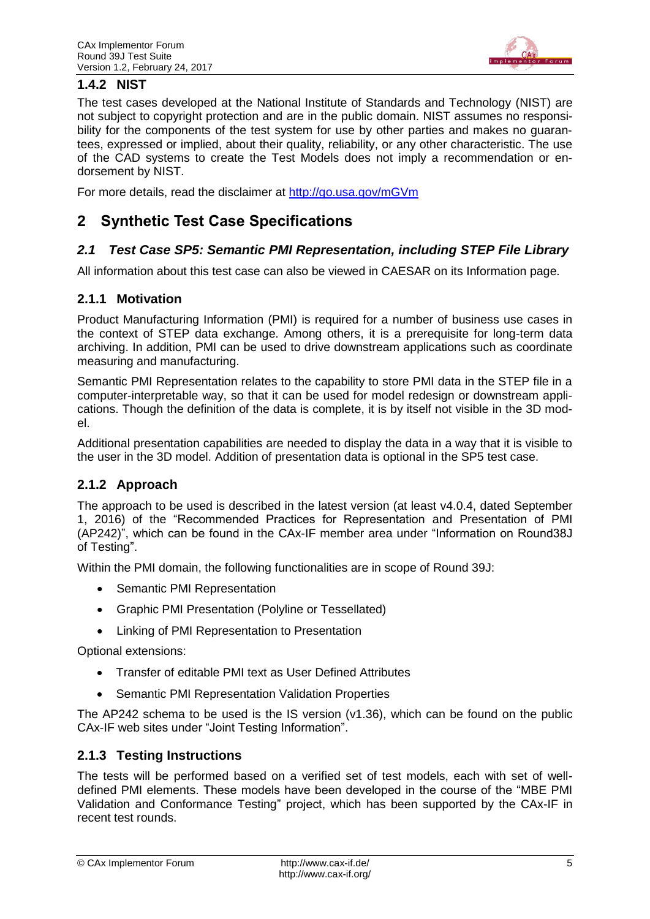

# **1.4.2 NIST**

The test cases developed at the National Institute of Standards and Technology (NIST) are not subject to copyright protection and are in the public domain. NIST assumes no responsibility for the components of the test system for use by other parties and makes no guarantees, expressed or implied, about their quality, reliability, or any other characteristic. The use of the CAD systems to create the Test Models does not imply a recommendation or endorsement by NIST.

For more details, read the disclaimer at<http://go.usa.gov/mGVm>

# <span id="page-4-0"></span>**2 Synthetic Test Case Specifications**

### <span id="page-4-1"></span>*2.1 Test Case SP5: Semantic PMI Representation, including STEP File Library*

All information about this test case can also be viewed in CAESAR on its Information page.

### **2.1.1 Motivation**

Product Manufacturing Information (PMI) is required for a number of business use cases in the context of STEP data exchange. Among others, it is a prerequisite for long-term data archiving. In addition, PMI can be used to drive downstream applications such as coordinate measuring and manufacturing.

Semantic PMI Representation relates to the capability to store PMI data in the STEP file in a computer-interpretable way, so that it can be used for model redesign or downstream applications. Though the definition of the data is complete, it is by itself not visible in the 3D model.

Additional presentation capabilities are needed to display the data in a way that it is visible to the user in the 3D model. Addition of presentation data is optional in the SP5 test case.

# **2.1.2 Approach**

The approach to be used is described in the latest version (at least v4.0.4, dated September 1, 2016) of the "Recommended Practices for Representation and Presentation of PMI (AP242)", which can be found in the CAx-IF member area under "Information on Round38J of Testing".

Within the PMI domain, the following functionalities are in scope of Round 39J:

- Semantic PMI Representation
- Graphic PMI Presentation (Polyline or Tessellated)
- Linking of PMI Representation to Presentation

Optional extensions:

- Transfer of editable PMI text as User Defined Attributes
- Semantic PMI Representation Validation Properties

The AP242 schema to be used is the IS version (v1.36), which can be found on the public CAx-IF web sites under "Joint Testing Information".

#### **2.1.3 Testing Instructions**

The tests will be performed based on a verified set of test models, each with set of welldefined PMI elements. These models have been developed in the course of the "MBE PMI Validation and Conformance Testing" project, which has been supported by the CAx-IF in recent test rounds.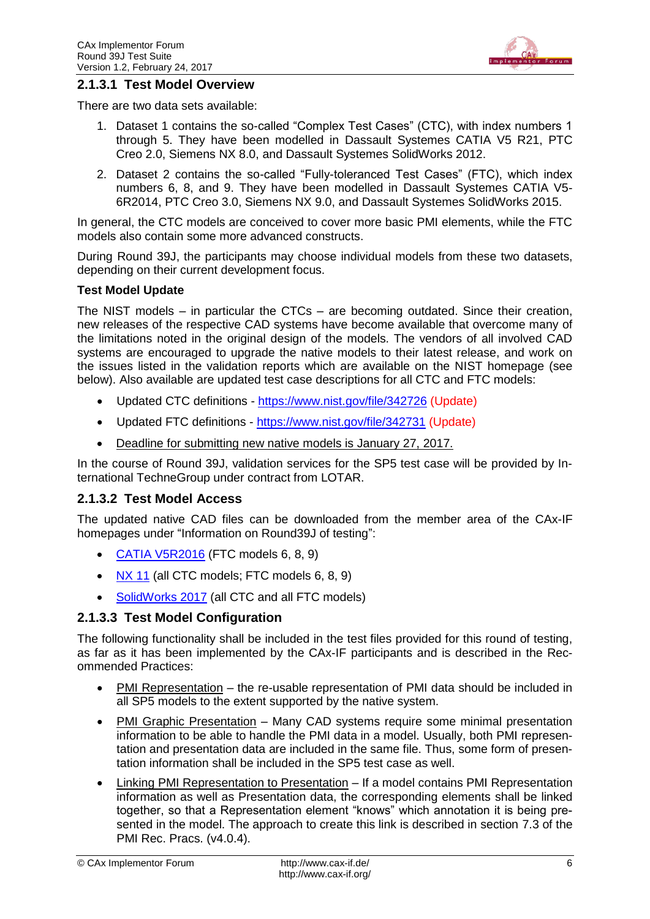

#### <span id="page-5-0"></span>**2.1.3.1 Test Model Overview**

There are two data sets available:

- 1. Dataset 1 contains the so-called "Complex Test Cases" (CTC), with index numbers 1 through 5. They have been modelled in Dassault Systemes CATIA V5 R21, PTC Creo 2.0, Siemens NX 8.0, and Dassault Systemes SolidWorks 2012.
- 2. Dataset 2 contains the so-called "Fully-toleranced Test Cases" (FTC), which index numbers 6, 8, and 9. They have been modelled in Dassault Systemes CATIA V5- 6R2014, PTC Creo 3.0, Siemens NX 9.0, and Dassault Systemes SolidWorks 2015.

In general, the CTC models are conceived to cover more basic PMI elements, while the FTC models also contain some more advanced constructs.

During Round 39J, the participants may choose individual models from these two datasets, depending on their current development focus.

#### **Test Model Update**

The NIST models – in particular the CTCs – are becoming outdated. Since their creation, new releases of the respective CAD systems have become available that overcome many of the limitations noted in the original design of the models. The vendors of all involved CAD systems are encouraged to upgrade the native models to their latest release, and work on the issues listed in the validation reports which are available on the NIST homepage (see below). Also available are updated test case descriptions for all CTC and FTC models:

- Updated CTC definitions <https://www.nist.gov/file/342726> (Update)
- Updated FTC definitions <https://www.nist.gov/file/342731> (Update)
- Deadline for submitting new native models is January 27, 2017.

In the course of Round 39J, validation services for the SP5 test case will be provided by International TechneGroup under contract from LOTAR.

#### <span id="page-5-1"></span>**2.1.3.2 Test Model Access**

The updated native CAD files can be downloaded from the member area of the CAx-IF homepages under "Information on Round39J of testing":

- [CATIA V5R2016](https://www.cax-if.de/secure/documents/NIST_PMI_CATIA_V56R2016_20170202.zip) (FTC models 6, 8, 9)
- $\bullet$  [NX](https://www.cax-if.de/secure/documents/NIST_PMI_NX_11_20170116.zip) 11 (all CTC models; FTC models 6, 8, 9)
- [SolidWorks 2017](https://www.cax-if.de/secure/documents/NIST_PMI_SW_2017_MBD_20170127.zip) (all CTC and all FTC models)

#### **2.1.3.3 Test Model Configuration**

The following functionality shall be included in the test files provided for this round of testing, as far as it has been implemented by the CAx-IF participants and is described in the Recommended Practices:

- PMI Representation the re-usable representation of PMI data should be included in all SP5 models to the extent supported by the native system.
- PMI Graphic Presentation Many CAD systems require some minimal presentation information to be able to handle the PMI data in a model. Usually, both PMI representation and presentation data are included in the same file. Thus, some form of presentation information shall be included in the SP5 test case as well.
- Linking PMI Representation to Presentation If a model contains PMI Representation information as well as Presentation data, the corresponding elements shall be linked together, so that a Representation element "knows" which annotation it is being presented in the model. The approach to create this link is described in section 7.3 of the PMI Rec. Pracs. (v4.0.4).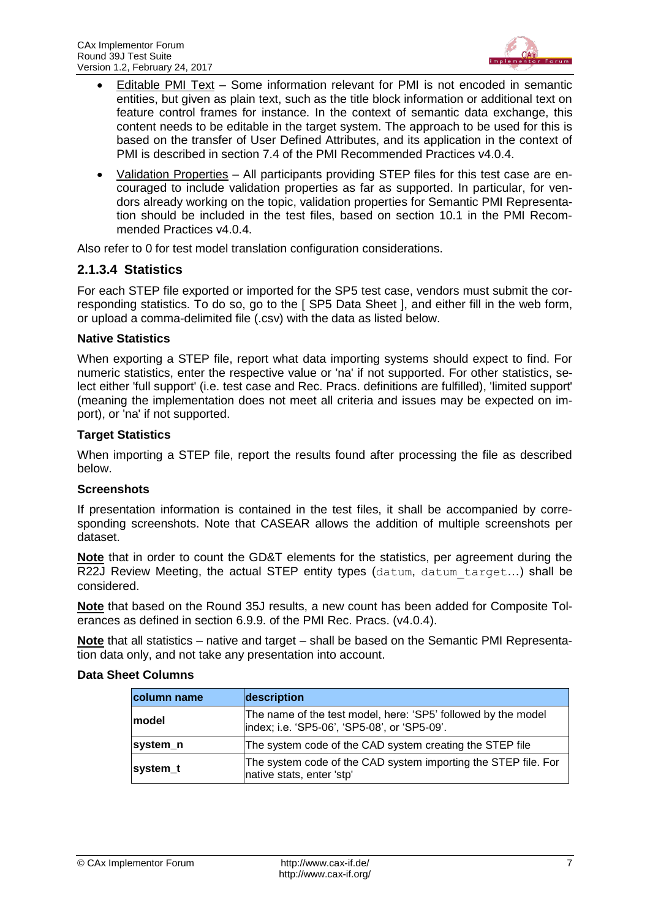

- Editable PMI Text Some information relevant for PMI is not encoded in semantic entities, but given as plain text, such as the title block information or additional text on feature control frames for instance. In the context of semantic data exchange, this content needs to be editable in the target system. The approach to be used for this is based on the transfer of User Defined Attributes, and its application in the context of PMI is described in section 7.4 of the PMI Recommended Practices v4.0.4.
- Validation Properties All participants providing STEP files for this test case are encouraged to include validation properties as far as supported. In particular, for vendors already working on the topic, validation properties for Semantic PMI Representation should be included in the test files, based on section 10.1 in the PMI Recommended Practices v4.0.4.

Also refer to [0](#page-15-0) for test model translation configuration considerations.

#### **2.1.3.4 Statistics**

For each STEP file exported or imported for the SP5 test case, vendors must submit the corresponding statistics. To do so, go to the [ SP5 Data Sheet ], and either fill in the web form, or upload a comma-delimited file (.csv) with the data as listed below.

#### **Native Statistics**

When exporting a STEP file, report what data importing systems should expect to find. For numeric statistics, enter the respective value or 'na' if not supported. For other statistics, select either 'full support' (i.e. test case and Rec. Pracs. definitions are fulfilled), 'limited support' (meaning the implementation does not meet all criteria and issues may be expected on import), or 'na' if not supported.

#### **Target Statistics**

When importing a STEP file, report the results found after processing the file as described below.

#### **Screenshots**

If presentation information is contained in the test files, it shall be accompanied by corresponding screenshots. Note that CASEAR allows the addition of multiple screenshots per dataset.

**Note** that in order to count the GD&T elements for the statistics, per agreement during the R22J Review Meeting, the actual STEP entity types (datum, datum target...) shall be considered.

**Note** that based on the Round 35J results, a new count has been added for Composite Tolerances as defined in section 6.9.9. of the PMI Rec. Pracs. (v4.0.4).

**Note** that all statistics – native and target – shall be based on the Semantic PMI Representation data only, and not take any presentation into account.

| column name | description                                                                                                    |
|-------------|----------------------------------------------------------------------------------------------------------------|
| lmodel      | The name of the test model, here: 'SP5' followed by the model<br>lindex; i.e. 'SP5-06', 'SP5-08', or 'SP5-09'. |
| system_n    | The system code of the CAD system creating the STEP file                                                       |
| system t    | The system code of the CAD system importing the STEP file. For<br>native stats, enter 'stp'                    |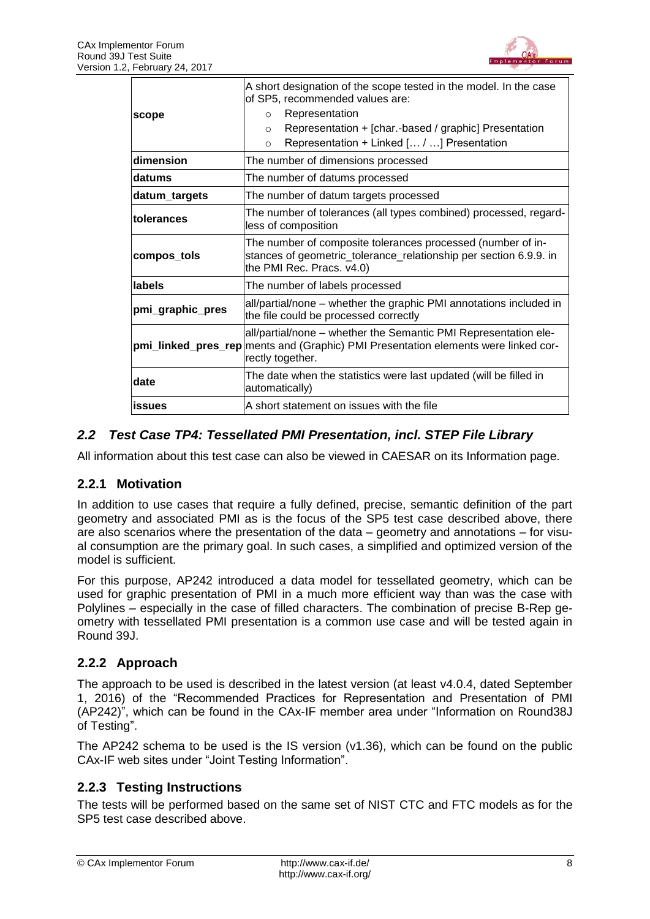

| scope                                                                                                         | A short designation of the scope tested in the model. In the case<br>of SP5, recommended values are:<br>Representation<br>$\circ$<br>Representation + [char.-based / graphic] Presentation<br>$\circ$<br>Representation + Linked [ / ] Presentation<br>$\circ$ |  |  |
|---------------------------------------------------------------------------------------------------------------|----------------------------------------------------------------------------------------------------------------------------------------------------------------------------------------------------------------------------------------------------------------|--|--|
| dimension                                                                                                     | The number of dimensions processed                                                                                                                                                                                                                             |  |  |
| datums                                                                                                        | The number of datums processed                                                                                                                                                                                                                                 |  |  |
| datum_targets                                                                                                 | The number of datum targets processed                                                                                                                                                                                                                          |  |  |
| The number of tolerances (all types combined) processed, regard-<br><b>Itolerances</b><br>less of composition |                                                                                                                                                                                                                                                                |  |  |
| compos_tols                                                                                                   | The number of composite tolerances processed (number of in-<br>stances of geometric_tolerance_relationship per section 6.9.9. in<br>the PMI Rec. Pracs. v4.0)                                                                                                  |  |  |
| llabels                                                                                                       | The number of labels processed                                                                                                                                                                                                                                 |  |  |
| pmi_graphic_pres                                                                                              | all/partial/none – whether the graphic PMI annotations included in<br>the file could be processed correctly                                                                                                                                                    |  |  |
|                                                                                                               | all/partial/none – whether the Semantic PMI Representation ele-<br>pmi_linked_pres_rep ments and (Graphic) PMI Presentation elements were linked cor-<br>rectly together.                                                                                      |  |  |
| date                                                                                                          | The date when the statistics were last updated (will be filled in<br>automatically)                                                                                                                                                                            |  |  |
| lissues                                                                                                       | A short statement on issues with the file                                                                                                                                                                                                                      |  |  |

# <span id="page-7-0"></span>*2.2 Test Case TP4: Tessellated PMI Presentation, incl. STEP File Library*

All information about this test case can also be viewed in CAESAR on its Information page.

# **2.2.1 Motivation**

In addition to use cases that require a fully defined, precise, semantic definition of the part geometry and associated PMI as is the focus of the SP5 test case described above, there are also scenarios where the presentation of the data – geometry and annotations – for visual consumption are the primary goal. In such cases, a simplified and optimized version of the model is sufficient.

For this purpose, AP242 introduced a data model for tessellated geometry, which can be used for graphic presentation of PMI in a much more efficient way than was the case with Polylines – especially in the case of filled characters. The combination of precise B-Rep geometry with tessellated PMI presentation is a common use case and will be tested again in Round 39J.

#### **2.2.2 Approach**

The approach to be used is described in the latest version (at least v4.0.4, dated September 1, 2016) of the "Recommended Practices for Representation and Presentation of PMI (AP242)", which can be found in the CAx-IF member area under "Information on Round38J of Testing".

The AP242 schema to be used is the IS version (v1.36), which can be found on the public CAx-IF web sites under "Joint Testing Information".

# **2.2.3 Testing Instructions**

The tests will be performed based on the same set of NIST CTC and FTC models as for the SP5 test case described above.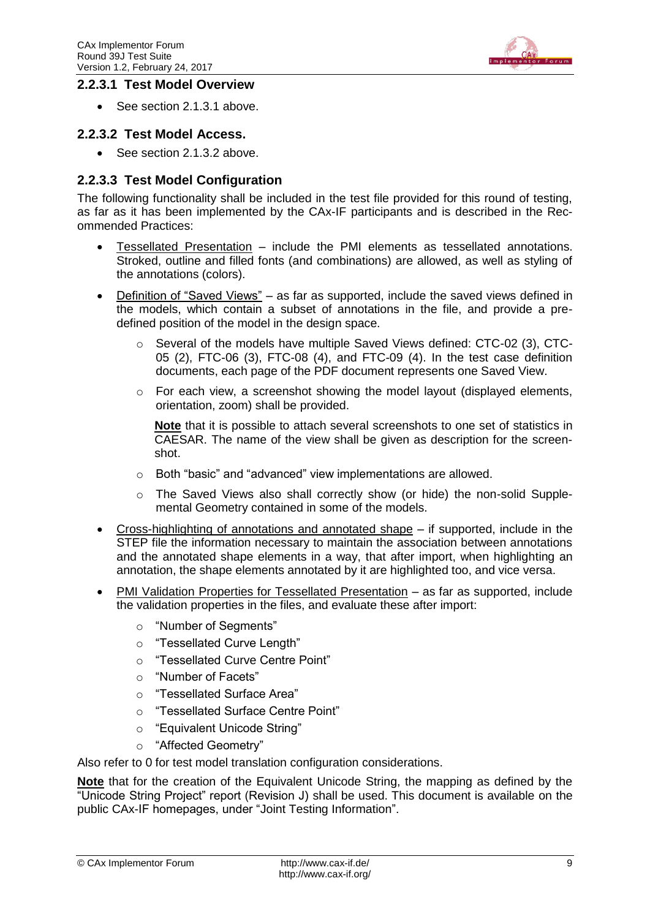

#### **2.2.3.1 Test Model Overview**

• See section [2.1.3.1](#page-5-0) above.

#### **2.2.3.2 Test Model Access.**

• See section [2.1.3.2](#page-5-1) above.

#### **2.2.3.3 Test Model Configuration**

The following functionality shall be included in the test file provided for this round of testing, as far as it has been implemented by the CAx-IF participants and is described in the Recommended Practices:

- Tessellated Presentation include the PMI elements as tessellated annotations. Stroked, outline and filled fonts (and combinations) are allowed, as well as styling of the annotations (colors).
- Definition of "Saved Views" as far as supported, include the saved views defined in the models, which contain a subset of annotations in the file, and provide a predefined position of the model in the design space.
	- o Several of the models have multiple Saved Views defined: CTC-02 (3), CTC-05 (2), FTC-06 (3), FTC-08 (4), and FTC-09 (4). In the test case definition documents, each page of the PDF document represents one Saved View.
	- $\circ$  For each view, a screenshot showing the model layout (displayed elements, orientation, zoom) shall be provided.

**Note** that it is possible to attach several screenshots to one set of statistics in CAESAR. The name of the view shall be given as description for the screenshot.

- o Both "basic" and "advanced" view implementations are allowed.
- o The Saved Views also shall correctly show (or hide) the non-solid Supplemental Geometry contained in some of the models.
- Cross-highlighting of annotations and annotated shape if supported, include in the STEP file the information necessary to maintain the association between annotations and the annotated shape elements in a way, that after import, when highlighting an annotation, the shape elements annotated by it are highlighted too, and vice versa.
- PMI Validation Properties for Tessellated Presentation as far as supported, include the validation properties in the files, and evaluate these after import:
	- o "Number of Segments"
	- o "Tessellated Curve Length"
	- o "Tessellated Curve Centre Point"
	- o "Number of Facets"
	- o "Tessellated Surface Area"
	- o "Tessellated Surface Centre Point"
	- o "Equivalent Unicode String"
	- o "Affected Geometry"

Also refer to [0](#page-15-0) for test model translation configuration considerations.

**Note** that for the creation of the Equivalent Unicode String, the mapping as defined by the "Unicode String Project" report (Revision J) shall be used. This document is available on the public CAx-IF homepages, under "Joint Testing Information".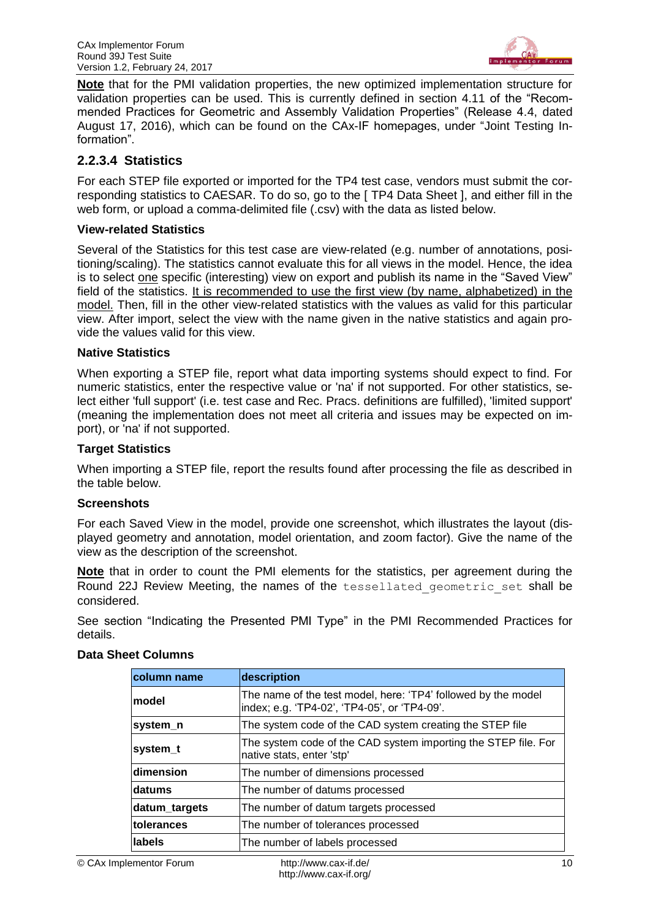

**Note** that for the PMI validation properties, the new optimized implementation structure for validation properties can be used. This is currently defined in section 4.11 of the "Recommended Practices for Geometric and Assembly Validation Properties" (Release 4.4, dated August 17, 2016), which can be found on the CAx-IF homepages, under "Joint Testing Information".

### **2.2.3.4 Statistics**

For each STEP file exported or imported for the TP4 test case, vendors must submit the corresponding statistics to CAESAR. To do so, go to the [ TP4 Data Sheet ], and either fill in the web form, or upload a comma-delimited file (.csv) with the data as listed below.

#### **View-related Statistics**

Several of the Statistics for this test case are view-related (e.g. number of annotations, positioning/scaling). The statistics cannot evaluate this for all views in the model. Hence, the idea is to select one specific (interesting) view on export and publish its name in the "Saved View" field of the statistics. It is recommended to use the first view (by name, alphabetized) in the model. Then, fill in the other view-related statistics with the values as valid for this particular view. After import, select the view with the name given in the native statistics and again provide the values valid for this view.

#### **Native Statistics**

When exporting a STEP file, report what data importing systems should expect to find. For numeric statistics, enter the respective value or 'na' if not supported. For other statistics, select either 'full support' (i.e. test case and Rec. Pracs. definitions are fulfilled), 'limited support' (meaning the implementation does not meet all criteria and issues may be expected on import), or 'na' if not supported.

#### **Target Statistics**

When importing a STEP file, report the results found after processing the file as described in the table below.

#### **Screenshots**

For each Saved View in the model, provide one screenshot, which illustrates the layout (displayed geometry and annotation, model orientation, and zoom factor). Give the name of the view as the description of the screenshot.

**Note** that in order to count the PMI elements for the statistics, per agreement during the Round 22J Review Meeting, the names of the tessellated geometric set shall be considered.

See section "Indicating the Presented PMI Type" in the PMI Recommended Practices for details.

| <b>column name</b> | description                                                                                                   |
|--------------------|---------------------------------------------------------------------------------------------------------------|
| lmodel             | The name of the test model, here: 'TP4' followed by the model<br>index; e.g. 'TP4-02', 'TP4-05', or 'TP4-09'. |
| system_n           | The system code of the CAD system creating the STEP file                                                      |
| system_t           | The system code of the CAD system importing the STEP file. For<br>native stats, enter 'stp'                   |
| dimension          | The number of dimensions processed                                                                            |
| ldatums            | The number of datums processed                                                                                |
| datum_targets      | The number of datum targets processed                                                                         |
| tolerances         | The number of tolerances processed                                                                            |
| llabels            | The number of labels processed                                                                                |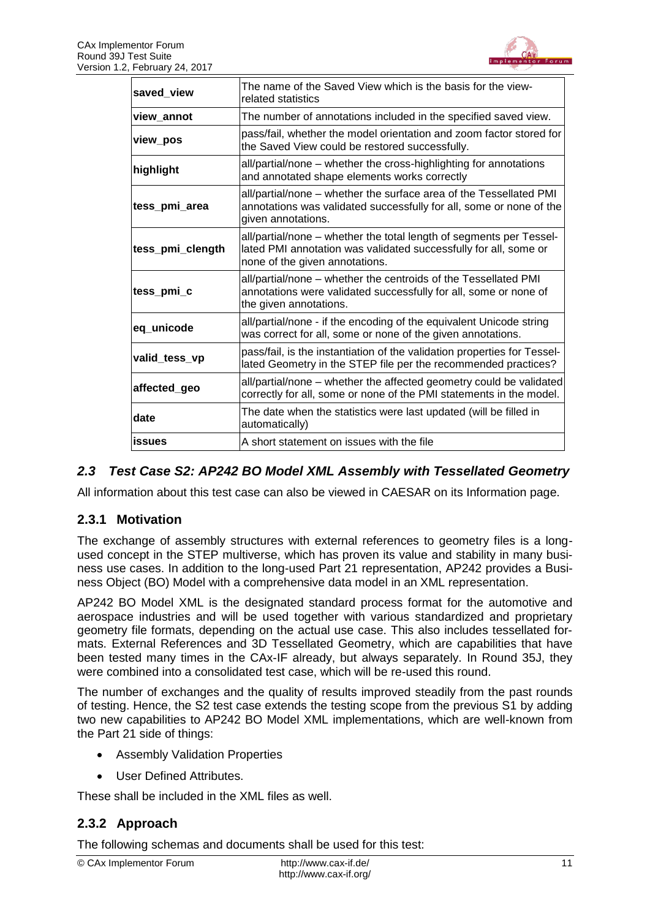

| saved_view       | The name of the Saved View which is the basis for the view-<br>related statistics                                                                                         |
|------------------|---------------------------------------------------------------------------------------------------------------------------------------------------------------------------|
| view annot       | The number of annotations included in the specified saved view.                                                                                                           |
| view_pos         | pass/fail, whether the model orientation and zoom factor stored for<br>the Saved View could be restored successfully.                                                     |
| highlight        | all/partial/none – whether the cross-highlighting for annotations<br>and annotated shape elements works correctly                                                         |
| tess_pmi_area    | all/partial/none – whether the surface area of the Tessellated PMI<br>annotations was validated successfully for all, some or none of the<br>given annotations.           |
| tess_pmi_clength | all/partial/none – whether the total length of segments per Tessel-<br>lated PMI annotation was validated successfully for all, some or<br>none of the given annotations. |
| tess_pmi_c       | all/partial/none - whether the centroids of the Tessellated PMI<br>annotations were validated successfully for all, some or none of<br>the given annotations.             |
| eq_unicode       | all/partial/none - if the encoding of the equivalent Unicode string<br>was correct for all, some or none of the given annotations.                                        |
| valid tess vp    | pass/fail, is the instantiation of the validation properties for Tessel-<br>lated Geometry in the STEP file per the recommended practices?                                |
| affected_geo     | all/partial/none - whether the affected geometry could be validated<br>correctly for all, some or none of the PMI statements in the model.                                |
| date             | The date when the statistics were last updated (will be filled in<br>automatically)                                                                                       |
| lissues          | A short statement on issues with the file                                                                                                                                 |

# <span id="page-10-0"></span>*2.3 Test Case S2: AP242 BO Model XML Assembly with Tessellated Geometry*

All information about this test case can also be viewed in CAESAR on its Information page.

# **2.3.1 Motivation**

The exchange of assembly structures with external references to geometry files is a longused concept in the STEP multiverse, which has proven its value and stability in many business use cases. In addition to the long-used Part 21 representation, AP242 provides a Business Object (BO) Model with a comprehensive data model in an XML representation.

AP242 BO Model XML is the designated standard process format for the automotive and aerospace industries and will be used together with various standardized and proprietary geometry file formats, depending on the actual use case. This also includes tessellated formats. External References and 3D Tessellated Geometry, which are capabilities that have been tested many times in the CAx-IF already, but always separately. In Round 35J, they were combined into a consolidated test case, which will be re-used this round.

The number of exchanges and the quality of results improved steadily from the past rounds of testing. Hence, the S2 test case extends the testing scope from the previous S1 by adding two new capabilities to AP242 BO Model XML implementations, which are well-known from the Part 21 side of things:

- Assembly Validation Properties
- User Defined Attributes.

These shall be included in the XML files as well.

# **2.3.2 Approach**

The following schemas and documents shall be used for this test: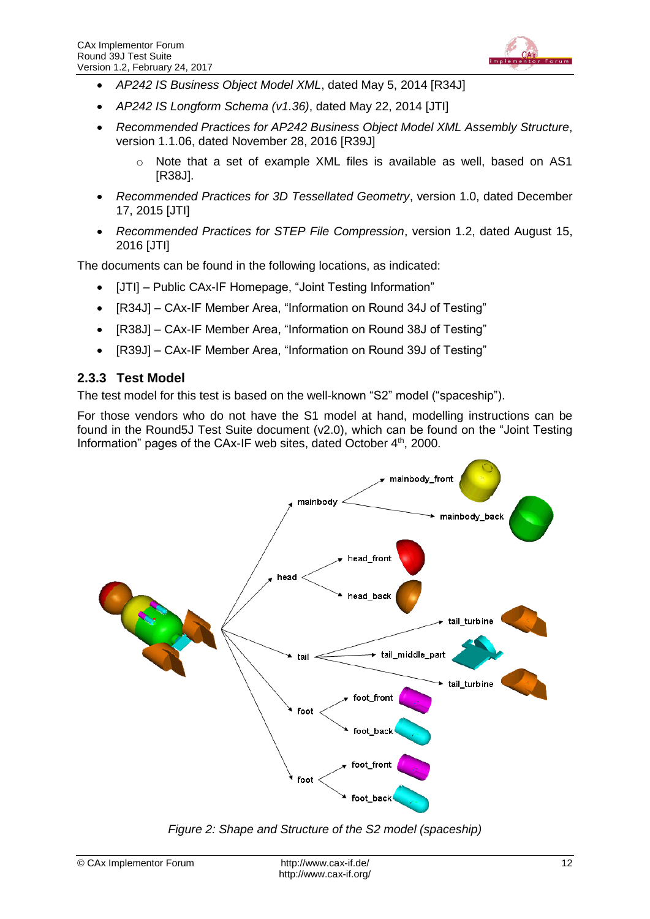

- *AP242 IS Business Object Model XML*, dated May 5, 2014 [R34J]
- *AP242 IS Longform Schema (v1.36)*, dated May 22, 2014 [JTI]
- *Recommended Practices for AP242 Business Object Model XML Assembly Structure*, version 1.1.06, dated November 28, 2016 [R39J]
	- $\circ$  Note that a set of example XML files is available as well, based on AS1 [R38J].
- *Recommended Practices for 3D Tessellated Geometry*, version 1.0, dated December 17, 2015 [JTI]
- *Recommended Practices for STEP File Compression*, version 1.2, dated August 15, 2016 [JTI]

The documents can be found in the following locations, as indicated:

- [JTI] Public CAx-IF Homepage, "Joint Testing Information"
- [R34J] CAx-IF Member Area, "Information on Round 34J of Testing"
- IR38JI CAx-IF Member Area, "Information on Round 38J of Testing"
- [R39J] CAx-IF Member Area, "Information on Round 39J of Testing"

#### **2.3.3 Test Model**

The test model for this test is based on the well-known "S2" model ("spaceship").

For those vendors who do not have the S1 model at hand, modelling instructions can be found in the Round5J Test Suite document (v2.0), which can be found on the "Joint Testing Information" pages of the CAx-IF web sites, dated October 4<sup>th</sup>, 2000.



<span id="page-11-0"></span>*Figure 2: Shape and Structure of the S2 model (spaceship)*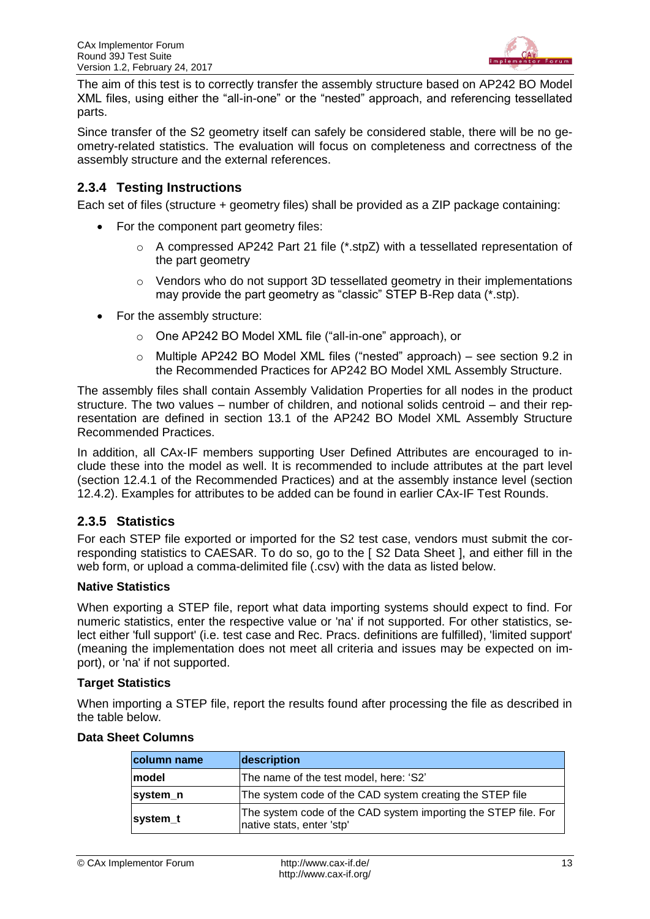

The aim of this test is to correctly transfer the assembly structure based on AP242 BO Model XML files, using either the "all-in-one" or the "nested" approach, and referencing tessellated parts.

Since transfer of the S2 geometry itself can safely be considered stable, there will be no geometry-related statistics. The evaluation will focus on completeness and correctness of the assembly structure and the external references.

### **2.3.4 Testing Instructions**

Each set of files (structure + geometry files) shall be provided as a ZIP package containing:

- For the component part geometry files:
	- $\circ$  A compressed AP242 Part 21 file (\*.stpZ) with a tessellated representation of the part geometry
	- o Vendors who do not support 3D tessellated geometry in their implementations may provide the part geometry as "classic" STEP B-Rep data (\*.stp).
- For the assembly structure:
	- o One AP242 BO Model XML file ("all-in-one" approach), or
	- o Multiple AP242 BO Model XML files ("nested" approach) see section 9.2 in the Recommended Practices for AP242 BO Model XML Assembly Structure.

The assembly files shall contain Assembly Validation Properties for all nodes in the product structure. The two values – number of children, and notional solids centroid – and their representation are defined in section 13.1 of the AP242 BO Model XML Assembly Structure Recommended Practices.

In addition, all CAx-IF members supporting User Defined Attributes are encouraged to include these into the model as well. It is recommended to include attributes at the part level (section 12.4.1 of the Recommended Practices) and at the assembly instance level (section 12.4.2). Examples for attributes to be added can be found in earlier CAx-IF Test Rounds.

#### **2.3.5 Statistics**

For each STEP file exported or imported for the S2 test case, vendors must submit the corresponding statistics to CAESAR. To do so, go to the [ S2 Data Sheet ], and either fill in the web form, or upload a comma-delimited file (.csv) with the data as listed below.

#### **Native Statistics**

When exporting a STEP file, report what data importing systems should expect to find. For numeric statistics, enter the respective value or 'na' if not supported. For other statistics, select either 'full support' (i.e. test case and Rec. Pracs. definitions are fulfilled), 'limited support' (meaning the implementation does not meet all criteria and issues may be expected on import), or 'na' if not supported.

#### **Target Statistics**

When importing a STEP file, report the results found after processing the file as described in the table below.

| column name   | description                                                                                 |
|---------------|---------------------------------------------------------------------------------------------|
| <b>Imodel</b> | The name of the test model, here: 'S2'                                                      |
| system_n      | The system code of the CAD system creating the STEP file                                    |
| system_t      | The system code of the CAD system importing the STEP file. For<br>native stats, enter 'stp' |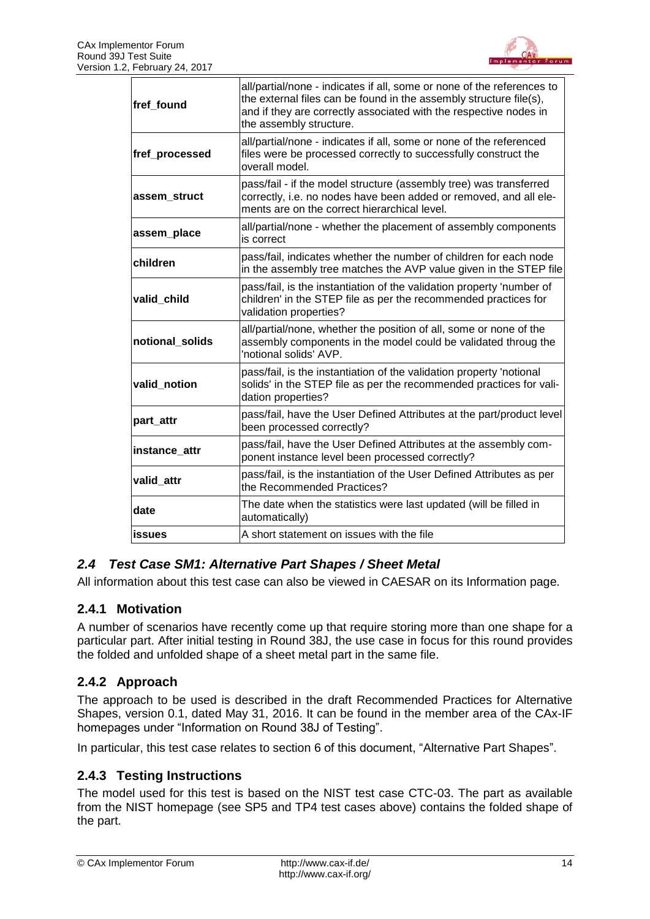

| fref_found      | all/partial/none - indicates if all, some or none of the references to<br>the external files can be found in the assembly structure file(s),<br>and if they are correctly associated with the respective nodes in<br>the assembly structure. |
|-----------------|----------------------------------------------------------------------------------------------------------------------------------------------------------------------------------------------------------------------------------------------|
| fref_processed  | all/partial/none - indicates if all, some or none of the referenced<br>files were be processed correctly to successfully construct the<br>overall model.                                                                                     |
| assem struct    | pass/fail - if the model structure (assembly tree) was transferred<br>correctly, i.e. no nodes have been added or removed, and all ele-<br>ments are on the correct hierarchical level.                                                      |
| assem_place     | all/partial/none - whether the placement of assembly components<br>is correct                                                                                                                                                                |
| children        | pass/fail, indicates whether the number of children for each node<br>in the assembly tree matches the AVP value given in the STEP file                                                                                                       |
| valid child     | pass/fail, is the instantiation of the validation property 'number of<br>children' in the STEP file as per the recommended practices for<br>validation properties?                                                                           |
| notional solids | all/partial/none, whether the position of all, some or none of the<br>assembly components in the model could be validated throug the<br>'notional solids' AVP.                                                                               |
| valid notion    | pass/fail, is the instantiation of the validation property 'notional<br>solids' in the STEP file as per the recommended practices for vali-<br>dation properties?                                                                            |
| part_attr       | pass/fail, have the User Defined Attributes at the part/product level<br>been processed correctly?                                                                                                                                           |
| instance attr   | pass/fail, have the User Defined Attributes at the assembly com-<br>ponent instance level been processed correctly?                                                                                                                          |
| valid_attr      | pass/fail, is the instantiation of the User Defined Attributes as per<br>the Recommended Practices?                                                                                                                                          |
| date            | The date when the statistics were last updated (will be filled in<br>automatically)                                                                                                                                                          |
| <b>issues</b>   | A short statement on issues with the file                                                                                                                                                                                                    |

# <span id="page-13-0"></span>*2.4 Test Case SM1: Alternative Part Shapes / Sheet Metal*

All information about this test case can also be viewed in CAESAR on its Information page.

#### **2.4.1 Motivation**

A number of scenarios have recently come up that require storing more than one shape for a particular part. After initial testing in Round 38J, the use case in focus for this round provides the folded and unfolded shape of a sheet metal part in the same file.

#### **2.4.2 Approach**

The approach to be used is described in the draft Recommended Practices for Alternative Shapes, version 0.1, dated May 31, 2016. It can be found in the member area of the CAx-IF homepages under "Information on Round 38J of Testing".

In particular, this test case relates to section 6 of this document, "Alternative Part Shapes".

#### **2.4.3 Testing Instructions**

The model used for this test is based on the NIST test case CTC-03. The part as available from the NIST homepage (see SP5 and TP4 test cases above) contains the folded shape of the part.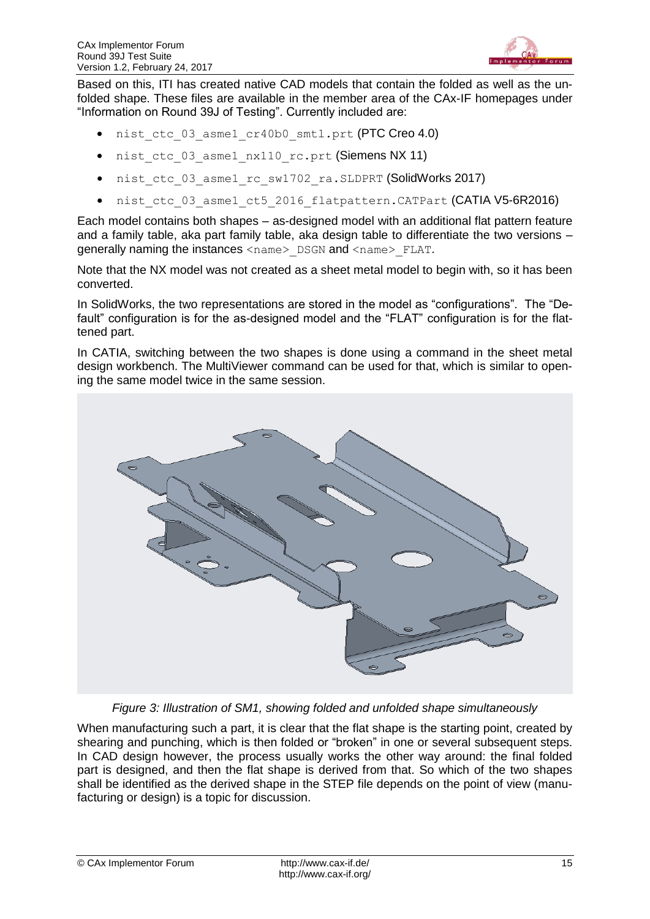

Based on this, ITI has created native CAD models that contain the folded as well as the unfolded shape. These files are available in the member area of the CAx-IF homepages under "Information on Round 39J of Testing". Currently included are:

- nist ctc 03 asme1 cr40b0 smtl.prt (PTC Creo 4.0)
- nist ctc 03 asme1 nx110 rc.prt (Siemens NX 11)
- nist ctc 03 asme1 rc sw1702 ra.SLDPRT (SolidWorks 2017)
- nist ctc 03 asme1 ct5 2016 flatpattern.CATPart (CATIA V5-6R2016)

Each model contains both shapes – as-designed model with an additional flat pattern feature and a family table, aka part family table, aka design table to differentiate the two versions – generally naming the instances <name> DSGN and <name> FLAT.

Note that the NX model was not created as a sheet metal model to begin with, so it has been converted.

In SolidWorks, the two representations are stored in the model as "configurations". The "Default" configuration is for the as-designed model and the "FLAT" configuration is for the flattened part.

In CATIA, switching between the two shapes is done using a command in the sheet metal design workbench. The MultiViewer command can be used for that, which is similar to opening the same model twice in the same session.



*Figure 3: Illustration of SM1, showing folded and unfolded shape simultaneously*

<span id="page-14-0"></span>When manufacturing such a part, it is clear that the flat shape is the starting point, created by shearing and punching, which is then folded or "broken" in one or several subsequent steps. In CAD design however, the process usually works the other way around: the final folded part is designed, and then the flat shape is derived from that. So which of the two shapes shall be identified as the derived shape in the STEP file depends on the point of view (manufacturing or design) is a topic for discussion.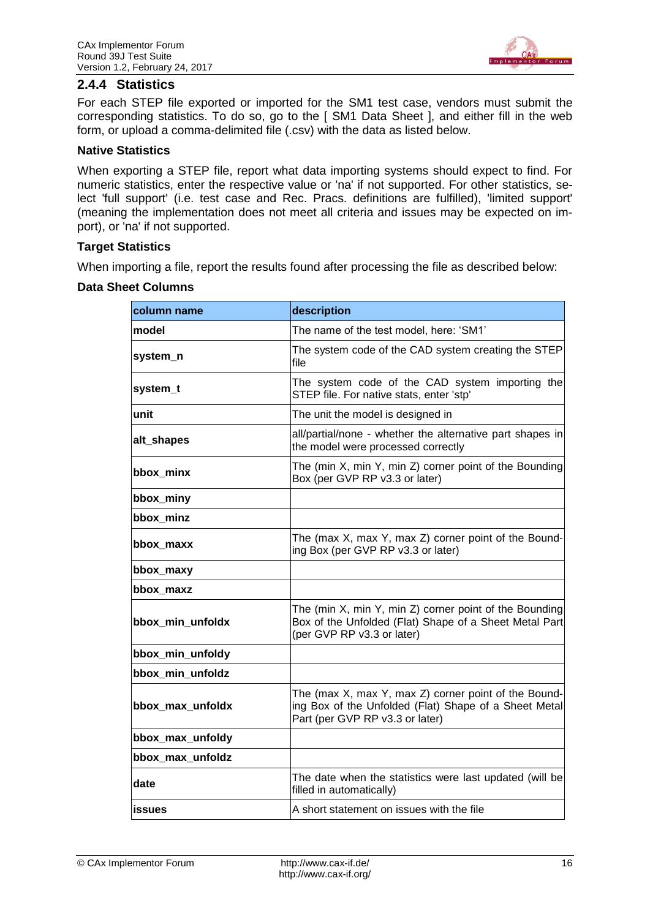

#### **2.4.4 Statistics**

For each STEP file exported or imported for the SM1 test case, vendors must submit the corresponding statistics. To do so, go to the [ SM1 Data Sheet ], and either fill in the web form, or upload a comma-delimited file (.csv) with the data as listed below.

#### **Native Statistics**

When exporting a STEP file, report what data importing systems should expect to find. For numeric statistics, enter the respective value or 'na' if not supported. For other statistics, select 'full support' (i.e. test case and Rec. Pracs. definitions are fulfilled), 'limited support' (meaning the implementation does not meet all criteria and issues may be expected on import), or 'na' if not supported.

#### **Target Statistics**

When importing a file, report the results found after processing the file as described below:

<span id="page-15-0"></span>

| column name      | description                                                                                                                                      |
|------------------|--------------------------------------------------------------------------------------------------------------------------------------------------|
| model            | The name of the test model, here: 'SM1'                                                                                                          |
| system_n         | The system code of the CAD system creating the STEP<br>file                                                                                      |
| system_t         | The system code of the CAD system importing the<br>STEP file. For native stats, enter 'stp'                                                      |
| unit             | The unit the model is designed in                                                                                                                |
| alt_shapes       | all/partial/none - whether the alternative part shapes in<br>the model were processed correctly                                                  |
| bbox_minx        | The (min X, min Y, min Z) corner point of the Bounding<br>Box (per GVP RP v3.3 or later)                                                         |
| bbox_miny        |                                                                                                                                                  |
| bbox minz        |                                                                                                                                                  |
| bbox_maxx        | The (max X, max Y, max Z) corner point of the Bound-<br>ing Box (per GVP RP v3.3 or later)                                                       |
| bbox_maxy        |                                                                                                                                                  |
| bbox_maxz        |                                                                                                                                                  |
| bbox_min_unfoldx | The (min X, min Y, min Z) corner point of the Bounding<br>Box of the Unfolded (Flat) Shape of a Sheet Metal Part<br>(per GVP RP v3.3 or later)   |
| bbox_min_unfoldy |                                                                                                                                                  |
| bbox_min_unfoldz |                                                                                                                                                  |
| bbox_max_unfoldx | The (max X, max Y, max Z) corner point of the Bound-<br>ing Box of the Unfolded (Flat) Shape of a Sheet Metal<br>Part (per GVP RP v3.3 or later) |
| bbox_max_unfoldy |                                                                                                                                                  |
| bbox_max_unfoldz |                                                                                                                                                  |
| date             | The date when the statistics were last updated (will be<br>filled in automatically)                                                              |
| <b>issues</b>    | A short statement on issues with the file                                                                                                        |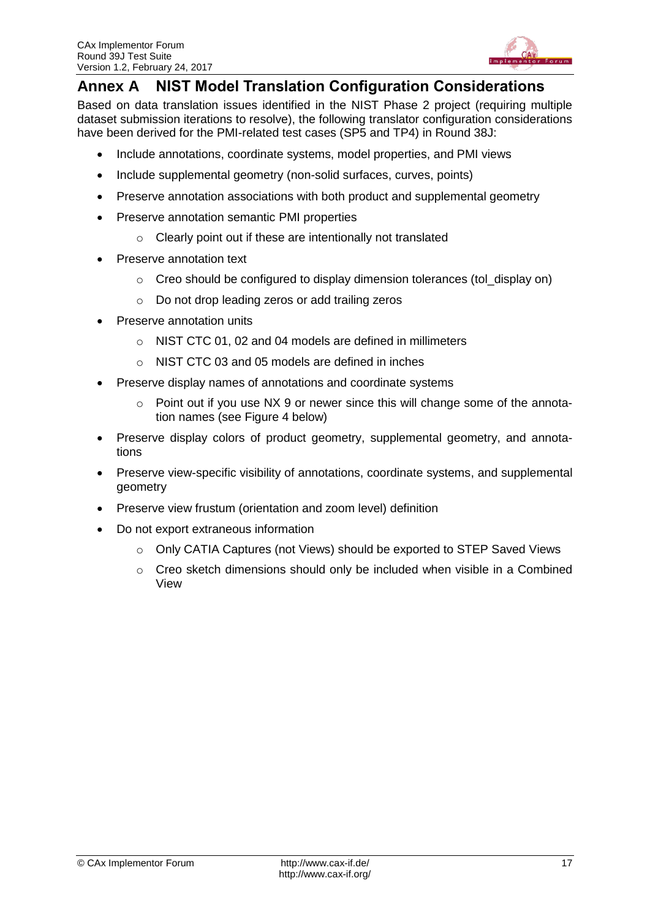

# <span id="page-16-0"></span>**Annex A NIST Model Translation Configuration Considerations**

Based on data translation issues identified in the NIST Phase 2 project (requiring multiple dataset submission iterations to resolve), the following translator configuration considerations have been derived for the PMI-related test cases (SP5 and TP4) in Round 38J:

- Include annotations, coordinate systems, model properties, and PMI views
- Include supplemental geometry (non-solid surfaces, curves, points)
- Preserve annotation associations with both product and supplemental geometry
- Preserve annotation semantic PMI properties
	- o Clearly point out if these are intentionally not translated
- Preserve annotation text
	- $\circ$  Creo should be configured to display dimension tolerances (tol\_display on)
	- o Do not drop leading zeros or add trailing zeros
- Preserve annotation units
	- o NIST CTC 01, 02 and 04 models are defined in millimeters
	- o NIST CTC 03 and 05 models are defined in inches
- Preserve display names of annotations and coordinate systems
	- $\circ$  Point out if you use NX 9 or newer since this will change some of the annotation names (see [Figure 4](#page-17-0) below)
- Preserve display colors of product geometry, supplemental geometry, and annotations
- Preserve view-specific visibility of annotations, coordinate systems, and supplemental geometry
- Preserve view frustum (orientation and zoom level) definition
- Do not export extraneous information
	- $\circ$  Only CATIA Captures (not Views) should be exported to STEP Saved Views
	- $\circ$  Creo sketch dimensions should only be included when visible in a Combined View